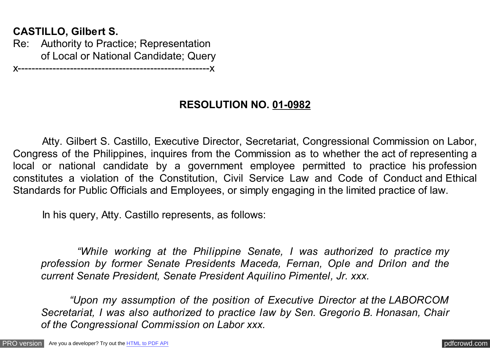## **CASTILLO, Gilbert S.**

Re: Authority to Practice; Representation of Local or National Candidate; Query

x-------------------------------------------------------x

## **RESOLUTION NO. 01-0982**

 Atty. Gilbert S. Castillo, Executive Director, Secretariat, Congressional Commission on Labor, Congress of the Philippines, inquires from the Commission as to whether the act of representing a local or national candidate by a government employee permitted to practice his profession constitutes a violation of the Constitution, Civil Service Law and Code of Conduct and Ethical Standards for Public Officials and Employees, or simply engaging in the limited practice of law.

In his query, Atty. Castillo represents, as follows:

 *"While working at the Philippine Senate, I was authorized to practice my profession by former Senate Presidents Maceda, Fernan, Ople and Drilon and the current Senate President, Senate President Aquilino Pimentel, Jr. xxx.*

 *"Upon my assumption of the position of Executive Director at the LABORCOM Secretariat, I was also authorized to practice law by Sen. Gregorio B. Honasan, Chair of the Congressional Commission on Labor xxx.*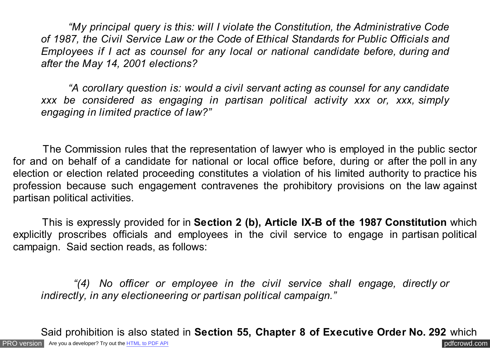*"My principal query is this: will I violate the Constitution, the Administrative Code of 1987, the Civil Service Law or the Code of Ethical Standards for Public Officials and Employees if I act as counsel for any local or national candidate before, during and after the May 14, 2001 elections?*

 *"A corollary question is: would a civil servant acting as counsel for any candidate xxx be considered as engaging in partisan political activity xxx or, xxx, simply engaging in limited practice of law?"*

The Commission rules that the representation of lawyer who is employed in the public sector for and on behalf of a candidate for national or local office before, during or after the poll in any election or election related proceeding constitutes a violation of his limited authority to practice his profession because such engagement contravenes the prohibitory provisions on the law against partisan political activities.

 This is expressly provided for in **Section 2 (b), Article IX-B of the 1987 Constitution** which explicitly proscribes officials and employees in the civil service to engage in partisan political campaign. Said section reads, as follows:

 *"(4) No officer or employee in the civil service shall engage, directly or indirectly, in any electioneering or partisan political campaign."*

[PRO version](http://pdfcrowd.com/customize/) Are you a developer? Try out th[e HTML to PDF API](http://pdfcrowd.com/html-to-pdf-api/?ref=pdf) [pdfcrowd.com](http://pdfcrowd.com) Said prohibition is also stated in **Section 55, Chapter 8 of Executive Order No. 292** which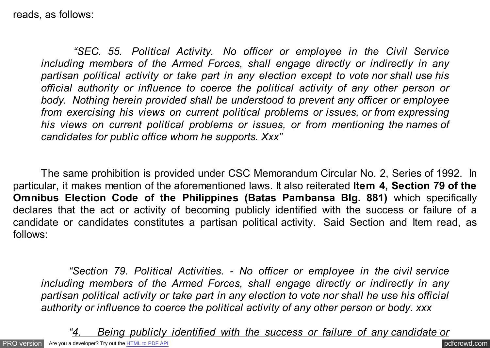reads, as follows:

 *"SEC. 55. Political Activity. No officer or employee in the Civil Service including members of the Armed Forces, shall engage directly or indirectly in any partisan political activity or take part in any election except to vote nor shall use his official authority or influence to coerce the political activity of any other person or body. Nothing herein provided shall be understood to prevent any officer or employee from exercising his views on current political problems or issues, or from expressing his views on current political problems or issues, or from mentioning the names of candidates for public office whom he supports. Xxx"*

The same prohibition is provided under CSC Memorandum Circular No. 2, Series of 1992. In particular, it makes mention of the aforementioned laws. It also reiterated **Item 4, Section 79 of the Omnibus Election Code of the Philippines (Batas Pambansa Blg. 881)** which specifically declares that the act or activity of becoming publicly identified with the success or failure of a candidate or candidates constitutes a partisan political activity. Said Section and Item read, as follows:

*"Section 79. Political Activities. - No officer or employee in the civil service including members of the Armed Forces, shall engage directly or indirectly in any partisan political activity or take part in any election to vote nor shall he use his official authority or influence to coerce the political activity of any other person or body. xxx*

[PRO version](http://pdfcrowd.com/customize/) Are you a developer? Try out th[e HTML to PDF API](http://pdfcrowd.com/html-to-pdf-api/?ref=pdf) [pdfcrowd.com](http://pdfcrowd.com) *"4. Being publicly identified with the success or failure of any candidate or*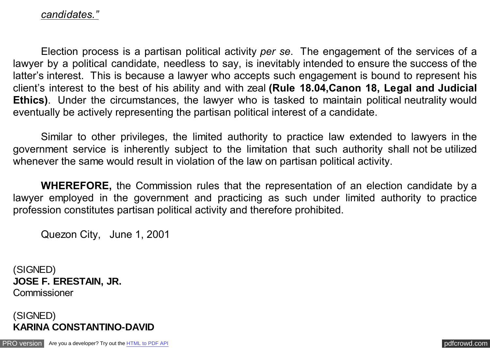## *candidates."*

Election process is a partisan political activity *per se*. The engagement of the services of a lawyer by a political candidate, needless to say, is inevitably intended to ensure the success of the latter's interest. This is because a lawyer who accepts such engagement is bound to represent his client's interest to the best of his ability and with zeal **(Rule 18.04,Canon 18, Legal and Judicial Ethics)**. Under the circumstances, the lawyer who is tasked to maintain political neutrality would eventually be actively representing the partisan political interest of a candidate.

Similar to other privileges, the limited authority to practice law extended to lawyers in the government service is inherently subject to the limitation that such authority shall not be utilized whenever the same would result in violation of the law on partisan political activity.

**WHEREFORE,** the Commission rules that the representation of an election candidate by a lawyer employed in the government and practicing as such under limited authority to practice profession constitutes partisan political activity and therefore prohibited.

Quezon City, June 1, 2001

(SIGNED) **JOSE F. ERESTAIN, JR. Commissioner** 



[PRO version](http://pdfcrowd.com/customize/) Are you a developer? Try out th[e HTML to PDF API](http://pdfcrowd.com/html-to-pdf-api/?ref=pdf) [pdfcrowd.com](http://pdfcrowd.com)